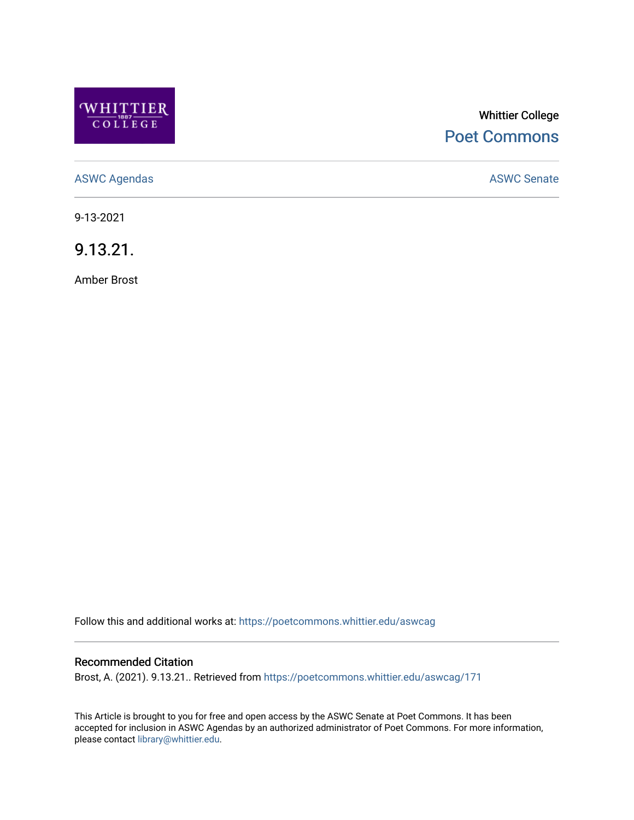

# Whittier College [Poet Commons](https://poetcommons.whittier.edu/)

[ASWC Agendas](https://poetcommons.whittier.edu/aswcag) **ASWC Senate** 

9-13-2021

9.13.21.

Amber Brost

Follow this and additional works at: [https://poetcommons.whittier.edu/aswcag](https://poetcommons.whittier.edu/aswcag?utm_source=poetcommons.whittier.edu%2Faswcag%2F171&utm_medium=PDF&utm_campaign=PDFCoverPages) 

## Recommended Citation

Brost, A. (2021). 9.13.21.. Retrieved from [https://poetcommons.whittier.edu/aswcag/171](https://poetcommons.whittier.edu/aswcag/171?utm_source=poetcommons.whittier.edu%2Faswcag%2F171&utm_medium=PDF&utm_campaign=PDFCoverPages) 

This Article is brought to you for free and open access by the ASWC Senate at Poet Commons. It has been accepted for inclusion in ASWC Agendas by an authorized administrator of Poet Commons. For more information, please contact [library@whittier.edu](mailto:library@whittier.edu).